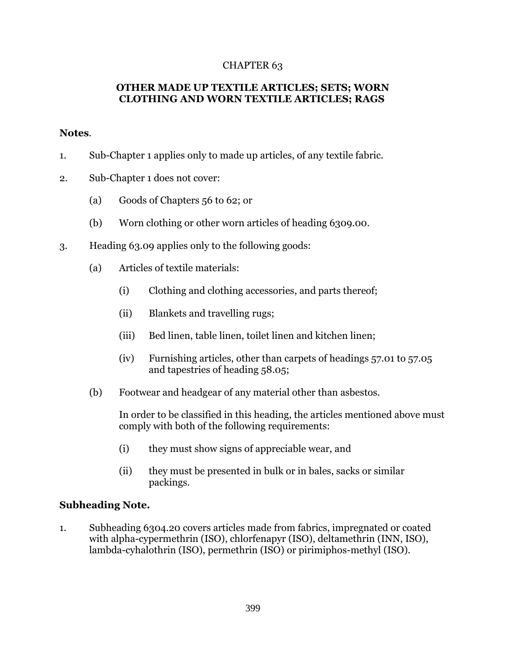## CHAPTER 63

## **OTHER MADE UP TEXTILE ARTICLES; SETS; WORN CLOTHING AND WORN TEXTILE ARTICLES; RAGS**

## **Notes**.

- 1. Sub-Chapter 1 applies only to made up articles, of any textile fabric.
- 2. Sub-Chapter 1 does not cover:
	- (a) Goods of Chapters 56 to 62; or
	- (b) Worn clothing or other worn articles of heading 6309.00.
- 3. Heading 63.09 applies only to the following goods:
	- (a) Articles of textile materials:
		- (i) Clothing and clothing accessories, and parts thereof;
		- (ii) Blankets and travelling rugs;
		- (iii) Bed linen, table linen, toilet linen and kitchen linen;
		- (iv) Furnishing articles, other than carpets of headings 57.01 to 57.05 and tapestries of heading 58.05;
	- (b) Footwear and headgear of any material other than asbestos.

In order to be classified in this heading, the articles mentioned above must comply with both of the following requirements:

- (i) they must show signs of appreciable wear, and
- (ii) they must be presented in bulk or in bales, sacks or similar packings.

## **Subheading Note.**

1. Subheading 6304.20 covers articles made from fabrics, impregnated or coated with alpha-cypermethrin (ISO), chlorfenapyr (ISO), deltamethrin (INN, ISO), lambda-cyhalothrin (ISO), permethrin (ISO) or pirimiphos-methyl (ISO).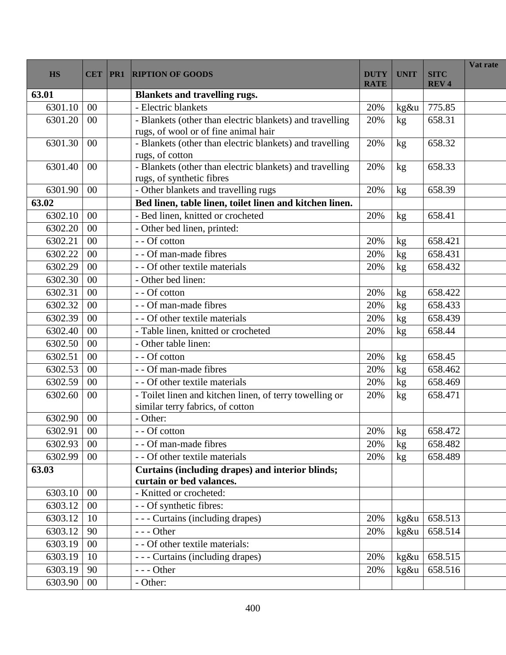| 63.01<br><b>Blankets and travelling rugs.</b><br>- Electric blankets<br>6301.10<br>775.85<br>00<br>20%<br>kg&u<br>- Blankets (other than electric blankets) and travelling<br>6301.20<br>00<br>20%<br>658.31<br>kg<br>rugs, of wool or of fine animal hair<br>- Blankets (other than electric blankets) and travelling<br>6301.30<br>20%<br>$00\,$<br>658.32<br>kg<br>rugs, of cotton<br>- Blankets (other than electric blankets) and travelling<br>20%<br>658.33<br>6301.40<br>$00\,$<br>kg<br>rugs, of synthetic fibres<br>- Other blankets and travelling rugs<br>6301.90<br>658.39<br>00<br>20%<br>kg<br>Bed linen, table linen, toilet linen and kitchen linen.<br>63.02<br>- Bed linen, knitted or crocheted<br>658.41<br>6302.10<br>00<br>20%<br>kg<br>- Other bed linen, printed:<br>6302.20<br>00<br>- - Of cotton<br>6302.21<br>00<br>658.421<br>20%<br>kg<br>6302.22<br>00<br>- - Of man-made fibres<br>658.431<br>20%<br>kg<br>6302.29<br>- - Of other textile materials<br>658.432<br>00<br>20%<br>kg<br>- Other bed linen:<br>6302.30<br>00<br>6302.31<br>00<br>- - Of cotton<br>20%<br>658.422<br>$\mathrm{kg}$<br>- - Of man-made fibres<br>6302.32<br>658.433<br>00<br>20%<br>kg<br>6302.39<br>00<br>- - Of other textile materials<br>658.439<br>20%<br>kg<br>6302.40<br>00<br>- Table linen, knitted or crocheted<br>20%<br>658.44<br>kg<br>6302.50<br>- Other table linen:<br>00<br>6302.51<br>00<br>658.45<br>- - Of cotton<br>20%<br>kg<br>6302.53<br>- - Of man-made fibres<br>00<br>658.462<br>20%<br>kg<br>- - Of other textile materials<br>6302.59<br>00<br>20%<br>658.469<br>kg<br>- Toilet linen and kitchen linen, of terry towelling or<br>6302.60<br>00<br>20%<br>658.471<br>kg<br>similar terry fabrics, of cotton<br>6302.90<br>00<br>- Other:<br>$00\,$<br>$\sqrt{\log n}$<br>658.472<br>6302.91<br>20%<br>- - Of cotton<br>- - Of man-made fibres<br>6302.93<br>00<br>20%<br>658.482<br>kg<br>6302.99<br>00<br>- - Of other textile materials<br>20%<br>658.489<br>kg<br>Curtains (including drapes) and interior blinds;<br>63.03<br>curtain or bed valances.<br>6303.10<br>00<br>- Knitted or crocheted:<br>00<br>- - Of synthetic fibres:<br>6303.12<br>6303.12<br>- - - Curtains (including drapes)<br>658.513<br>10<br>20%<br>kg&u<br>90<br>6303.12<br>$--$ Other<br>20%<br>658.514<br>kg&u | <b>HS</b> | <b>CET</b> | PR1 | <b>RIPTION OF GOODS</b>         | <b>DUTY</b><br><b>RATE</b> | <b>UNIT</b> | <b>SITC</b><br><b>REV4</b> | Vat rate |
|---------------------------------------------------------------------------------------------------------------------------------------------------------------------------------------------------------------------------------------------------------------------------------------------------------------------------------------------------------------------------------------------------------------------------------------------------------------------------------------------------------------------------------------------------------------------------------------------------------------------------------------------------------------------------------------------------------------------------------------------------------------------------------------------------------------------------------------------------------------------------------------------------------------------------------------------------------------------------------------------------------------------------------------------------------------------------------------------------------------------------------------------------------------------------------------------------------------------------------------------------------------------------------------------------------------------------------------------------------------------------------------------------------------------------------------------------------------------------------------------------------------------------------------------------------------------------------------------------------------------------------------------------------------------------------------------------------------------------------------------------------------------------------------------------------------------------------------------------------------------------------------------------------------------------------------------------------------------------------------------------------------------------------------------------------------------------------------------------------------------------------------------------------------------------------------------------------------------------------------------------------------------------------------------------------------------------------------|-----------|------------|-----|---------------------------------|----------------------------|-------------|----------------------------|----------|
|                                                                                                                                                                                                                                                                                                                                                                                                                                                                                                                                                                                                                                                                                                                                                                                                                                                                                                                                                                                                                                                                                                                                                                                                                                                                                                                                                                                                                                                                                                                                                                                                                                                                                                                                                                                                                                                                                                                                                                                                                                                                                                                                                                                                                                                                                                                                       |           |            |     |                                 |                            |             |                            |          |
|                                                                                                                                                                                                                                                                                                                                                                                                                                                                                                                                                                                                                                                                                                                                                                                                                                                                                                                                                                                                                                                                                                                                                                                                                                                                                                                                                                                                                                                                                                                                                                                                                                                                                                                                                                                                                                                                                                                                                                                                                                                                                                                                                                                                                                                                                                                                       |           |            |     |                                 |                            |             |                            |          |
|                                                                                                                                                                                                                                                                                                                                                                                                                                                                                                                                                                                                                                                                                                                                                                                                                                                                                                                                                                                                                                                                                                                                                                                                                                                                                                                                                                                                                                                                                                                                                                                                                                                                                                                                                                                                                                                                                                                                                                                                                                                                                                                                                                                                                                                                                                                                       |           |            |     |                                 |                            |             |                            |          |
|                                                                                                                                                                                                                                                                                                                                                                                                                                                                                                                                                                                                                                                                                                                                                                                                                                                                                                                                                                                                                                                                                                                                                                                                                                                                                                                                                                                                                                                                                                                                                                                                                                                                                                                                                                                                                                                                                                                                                                                                                                                                                                                                                                                                                                                                                                                                       |           |            |     |                                 |                            |             |                            |          |
|                                                                                                                                                                                                                                                                                                                                                                                                                                                                                                                                                                                                                                                                                                                                                                                                                                                                                                                                                                                                                                                                                                                                                                                                                                                                                                                                                                                                                                                                                                                                                                                                                                                                                                                                                                                                                                                                                                                                                                                                                                                                                                                                                                                                                                                                                                                                       |           |            |     |                                 |                            |             |                            |          |
|                                                                                                                                                                                                                                                                                                                                                                                                                                                                                                                                                                                                                                                                                                                                                                                                                                                                                                                                                                                                                                                                                                                                                                                                                                                                                                                                                                                                                                                                                                                                                                                                                                                                                                                                                                                                                                                                                                                                                                                                                                                                                                                                                                                                                                                                                                                                       |           |            |     |                                 |                            |             |                            |          |
|                                                                                                                                                                                                                                                                                                                                                                                                                                                                                                                                                                                                                                                                                                                                                                                                                                                                                                                                                                                                                                                                                                                                                                                                                                                                                                                                                                                                                                                                                                                                                                                                                                                                                                                                                                                                                                                                                                                                                                                                                                                                                                                                                                                                                                                                                                                                       |           |            |     |                                 |                            |             |                            |          |
|                                                                                                                                                                                                                                                                                                                                                                                                                                                                                                                                                                                                                                                                                                                                                                                                                                                                                                                                                                                                                                                                                                                                                                                                                                                                                                                                                                                                                                                                                                                                                                                                                                                                                                                                                                                                                                                                                                                                                                                                                                                                                                                                                                                                                                                                                                                                       |           |            |     |                                 |                            |             |                            |          |
|                                                                                                                                                                                                                                                                                                                                                                                                                                                                                                                                                                                                                                                                                                                                                                                                                                                                                                                                                                                                                                                                                                                                                                                                                                                                                                                                                                                                                                                                                                                                                                                                                                                                                                                                                                                                                                                                                                                                                                                                                                                                                                                                                                                                                                                                                                                                       |           |            |     |                                 |                            |             |                            |          |
|                                                                                                                                                                                                                                                                                                                                                                                                                                                                                                                                                                                                                                                                                                                                                                                                                                                                                                                                                                                                                                                                                                                                                                                                                                                                                                                                                                                                                                                                                                                                                                                                                                                                                                                                                                                                                                                                                                                                                                                                                                                                                                                                                                                                                                                                                                                                       |           |            |     |                                 |                            |             |                            |          |
|                                                                                                                                                                                                                                                                                                                                                                                                                                                                                                                                                                                                                                                                                                                                                                                                                                                                                                                                                                                                                                                                                                                                                                                                                                                                                                                                                                                                                                                                                                                                                                                                                                                                                                                                                                                                                                                                                                                                                                                                                                                                                                                                                                                                                                                                                                                                       |           |            |     |                                 |                            |             |                            |          |
|                                                                                                                                                                                                                                                                                                                                                                                                                                                                                                                                                                                                                                                                                                                                                                                                                                                                                                                                                                                                                                                                                                                                                                                                                                                                                                                                                                                                                                                                                                                                                                                                                                                                                                                                                                                                                                                                                                                                                                                                                                                                                                                                                                                                                                                                                                                                       |           |            |     |                                 |                            |             |                            |          |
|                                                                                                                                                                                                                                                                                                                                                                                                                                                                                                                                                                                                                                                                                                                                                                                                                                                                                                                                                                                                                                                                                                                                                                                                                                                                                                                                                                                                                                                                                                                                                                                                                                                                                                                                                                                                                                                                                                                                                                                                                                                                                                                                                                                                                                                                                                                                       |           |            |     |                                 |                            |             |                            |          |
|                                                                                                                                                                                                                                                                                                                                                                                                                                                                                                                                                                                                                                                                                                                                                                                                                                                                                                                                                                                                                                                                                                                                                                                                                                                                                                                                                                                                                                                                                                                                                                                                                                                                                                                                                                                                                                                                                                                                                                                                                                                                                                                                                                                                                                                                                                                                       |           |            |     |                                 |                            |             |                            |          |
|                                                                                                                                                                                                                                                                                                                                                                                                                                                                                                                                                                                                                                                                                                                                                                                                                                                                                                                                                                                                                                                                                                                                                                                                                                                                                                                                                                                                                                                                                                                                                                                                                                                                                                                                                                                                                                                                                                                                                                                                                                                                                                                                                                                                                                                                                                                                       |           |            |     |                                 |                            |             |                            |          |
|                                                                                                                                                                                                                                                                                                                                                                                                                                                                                                                                                                                                                                                                                                                                                                                                                                                                                                                                                                                                                                                                                                                                                                                                                                                                                                                                                                                                                                                                                                                                                                                                                                                                                                                                                                                                                                                                                                                                                                                                                                                                                                                                                                                                                                                                                                                                       |           |            |     |                                 |                            |             |                            |          |
|                                                                                                                                                                                                                                                                                                                                                                                                                                                                                                                                                                                                                                                                                                                                                                                                                                                                                                                                                                                                                                                                                                                                                                                                                                                                                                                                                                                                                                                                                                                                                                                                                                                                                                                                                                                                                                                                                                                                                                                                                                                                                                                                                                                                                                                                                                                                       |           |            |     |                                 |                            |             |                            |          |
|                                                                                                                                                                                                                                                                                                                                                                                                                                                                                                                                                                                                                                                                                                                                                                                                                                                                                                                                                                                                                                                                                                                                                                                                                                                                                                                                                                                                                                                                                                                                                                                                                                                                                                                                                                                                                                                                                                                                                                                                                                                                                                                                                                                                                                                                                                                                       |           |            |     |                                 |                            |             |                            |          |
|                                                                                                                                                                                                                                                                                                                                                                                                                                                                                                                                                                                                                                                                                                                                                                                                                                                                                                                                                                                                                                                                                                                                                                                                                                                                                                                                                                                                                                                                                                                                                                                                                                                                                                                                                                                                                                                                                                                                                                                                                                                                                                                                                                                                                                                                                                                                       |           |            |     |                                 |                            |             |                            |          |
|                                                                                                                                                                                                                                                                                                                                                                                                                                                                                                                                                                                                                                                                                                                                                                                                                                                                                                                                                                                                                                                                                                                                                                                                                                                                                                                                                                                                                                                                                                                                                                                                                                                                                                                                                                                                                                                                                                                                                                                                                                                                                                                                                                                                                                                                                                                                       |           |            |     |                                 |                            |             |                            |          |
|                                                                                                                                                                                                                                                                                                                                                                                                                                                                                                                                                                                                                                                                                                                                                                                                                                                                                                                                                                                                                                                                                                                                                                                                                                                                                                                                                                                                                                                                                                                                                                                                                                                                                                                                                                                                                                                                                                                                                                                                                                                                                                                                                                                                                                                                                                                                       |           |            |     |                                 |                            |             |                            |          |
|                                                                                                                                                                                                                                                                                                                                                                                                                                                                                                                                                                                                                                                                                                                                                                                                                                                                                                                                                                                                                                                                                                                                                                                                                                                                                                                                                                                                                                                                                                                                                                                                                                                                                                                                                                                                                                                                                                                                                                                                                                                                                                                                                                                                                                                                                                                                       |           |            |     |                                 |                            |             |                            |          |
|                                                                                                                                                                                                                                                                                                                                                                                                                                                                                                                                                                                                                                                                                                                                                                                                                                                                                                                                                                                                                                                                                                                                                                                                                                                                                                                                                                                                                                                                                                                                                                                                                                                                                                                                                                                                                                                                                                                                                                                                                                                                                                                                                                                                                                                                                                                                       |           |            |     |                                 |                            |             |                            |          |
|                                                                                                                                                                                                                                                                                                                                                                                                                                                                                                                                                                                                                                                                                                                                                                                                                                                                                                                                                                                                                                                                                                                                                                                                                                                                                                                                                                                                                                                                                                                                                                                                                                                                                                                                                                                                                                                                                                                                                                                                                                                                                                                                                                                                                                                                                                                                       |           |            |     |                                 |                            |             |                            |          |
|                                                                                                                                                                                                                                                                                                                                                                                                                                                                                                                                                                                                                                                                                                                                                                                                                                                                                                                                                                                                                                                                                                                                                                                                                                                                                                                                                                                                                                                                                                                                                                                                                                                                                                                                                                                                                                                                                                                                                                                                                                                                                                                                                                                                                                                                                                                                       |           |            |     |                                 |                            |             |                            |          |
|                                                                                                                                                                                                                                                                                                                                                                                                                                                                                                                                                                                                                                                                                                                                                                                                                                                                                                                                                                                                                                                                                                                                                                                                                                                                                                                                                                                                                                                                                                                                                                                                                                                                                                                                                                                                                                                                                                                                                                                                                                                                                                                                                                                                                                                                                                                                       |           |            |     |                                 |                            |             |                            |          |
|                                                                                                                                                                                                                                                                                                                                                                                                                                                                                                                                                                                                                                                                                                                                                                                                                                                                                                                                                                                                                                                                                                                                                                                                                                                                                                                                                                                                                                                                                                                                                                                                                                                                                                                                                                                                                                                                                                                                                                                                                                                                                                                                                                                                                                                                                                                                       |           |            |     |                                 |                            |             |                            |          |
|                                                                                                                                                                                                                                                                                                                                                                                                                                                                                                                                                                                                                                                                                                                                                                                                                                                                                                                                                                                                                                                                                                                                                                                                                                                                                                                                                                                                                                                                                                                                                                                                                                                                                                                                                                                                                                                                                                                                                                                                                                                                                                                                                                                                                                                                                                                                       |           |            |     |                                 |                            |             |                            |          |
|                                                                                                                                                                                                                                                                                                                                                                                                                                                                                                                                                                                                                                                                                                                                                                                                                                                                                                                                                                                                                                                                                                                                                                                                                                                                                                                                                                                                                                                                                                                                                                                                                                                                                                                                                                                                                                                                                                                                                                                                                                                                                                                                                                                                                                                                                                                                       |           |            |     |                                 |                            |             |                            |          |
|                                                                                                                                                                                                                                                                                                                                                                                                                                                                                                                                                                                                                                                                                                                                                                                                                                                                                                                                                                                                                                                                                                                                                                                                                                                                                                                                                                                                                                                                                                                                                                                                                                                                                                                                                                                                                                                                                                                                                                                                                                                                                                                                                                                                                                                                                                                                       |           |            |     |                                 |                            |             |                            |          |
|                                                                                                                                                                                                                                                                                                                                                                                                                                                                                                                                                                                                                                                                                                                                                                                                                                                                                                                                                                                                                                                                                                                                                                                                                                                                                                                                                                                                                                                                                                                                                                                                                                                                                                                                                                                                                                                                                                                                                                                                                                                                                                                                                                                                                                                                                                                                       |           |            |     |                                 |                            |             |                            |          |
|                                                                                                                                                                                                                                                                                                                                                                                                                                                                                                                                                                                                                                                                                                                                                                                                                                                                                                                                                                                                                                                                                                                                                                                                                                                                                                                                                                                                                                                                                                                                                                                                                                                                                                                                                                                                                                                                                                                                                                                                                                                                                                                                                                                                                                                                                                                                       |           |            |     |                                 |                            |             |                            |          |
|                                                                                                                                                                                                                                                                                                                                                                                                                                                                                                                                                                                                                                                                                                                                                                                                                                                                                                                                                                                                                                                                                                                                                                                                                                                                                                                                                                                                                                                                                                                                                                                                                                                                                                                                                                                                                                                                                                                                                                                                                                                                                                                                                                                                                                                                                                                                       |           |            |     |                                 |                            |             |                            |          |
|                                                                                                                                                                                                                                                                                                                                                                                                                                                                                                                                                                                                                                                                                                                                                                                                                                                                                                                                                                                                                                                                                                                                                                                                                                                                                                                                                                                                                                                                                                                                                                                                                                                                                                                                                                                                                                                                                                                                                                                                                                                                                                                                                                                                                                                                                                                                       |           |            |     |                                 |                            |             |                            |          |
|                                                                                                                                                                                                                                                                                                                                                                                                                                                                                                                                                                                                                                                                                                                                                                                                                                                                                                                                                                                                                                                                                                                                                                                                                                                                                                                                                                                                                                                                                                                                                                                                                                                                                                                                                                                                                                                                                                                                                                                                                                                                                                                                                                                                                                                                                                                                       | 6303.19   | 00         |     | - - Of other textile materials: |                            |             |                            |          |
| --- Curtains (including drapes)<br>6303.19<br>10<br>20%<br>658.515<br>kg&u                                                                                                                                                                                                                                                                                                                                                                                                                                                                                                                                                                                                                                                                                                                                                                                                                                                                                                                                                                                                                                                                                                                                                                                                                                                                                                                                                                                                                                                                                                                                                                                                                                                                                                                                                                                                                                                                                                                                                                                                                                                                                                                                                                                                                                                            |           |            |     |                                 |                            |             |                            |          |
| 90<br>6303.19<br>658.516<br>$--$ Other<br>20%<br>kg&u                                                                                                                                                                                                                                                                                                                                                                                                                                                                                                                                                                                                                                                                                                                                                                                                                                                                                                                                                                                                                                                                                                                                                                                                                                                                                                                                                                                                                                                                                                                                                                                                                                                                                                                                                                                                                                                                                                                                                                                                                                                                                                                                                                                                                                                                                 |           |            |     |                                 |                            |             |                            |          |
| 6303.90<br>00<br>- Other:                                                                                                                                                                                                                                                                                                                                                                                                                                                                                                                                                                                                                                                                                                                                                                                                                                                                                                                                                                                                                                                                                                                                                                                                                                                                                                                                                                                                                                                                                                                                                                                                                                                                                                                                                                                                                                                                                                                                                                                                                                                                                                                                                                                                                                                                                                             |           |            |     |                                 |                            |             |                            |          |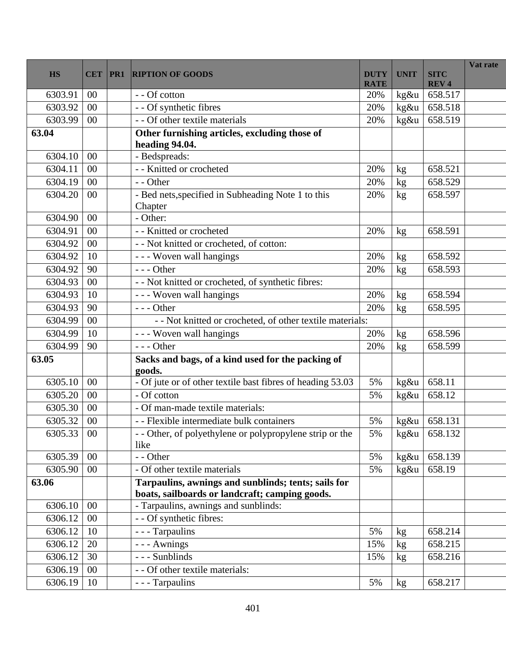| <b>HS</b> | <b>CET</b> | PR1 | <b>RIPTION OF GOODS</b>                                                                               | <b>DUTY</b><br><b>RATE</b> | <b>UNIT</b>   | <b>SITC</b><br><b>REV4</b> | Vat rate |
|-----------|------------|-----|-------------------------------------------------------------------------------------------------------|----------------------------|---------------|----------------------------|----------|
| 6303.91   | 00         |     | - - Of cotton                                                                                         | 20%                        | kg&u          | 658.517                    |          |
| 6303.92   | 00         |     | - - Of synthetic fibres                                                                               | 20%                        | kg&u          | 658.518                    |          |
| 6303.99   | 00         |     | - - Of other textile materials                                                                        | 20%                        | kg&u          | 658.519                    |          |
| 63.04     |            |     | Other furnishing articles, excluding those of<br>heading 94.04.                                       |                            |               |                            |          |
| 6304.10   | 00         |     | - Bedspreads:                                                                                         |                            |               |                            |          |
| 6304.11   | 00         |     | - - Knitted or crocheted                                                                              | 20%                        | kg            | 658.521                    |          |
| 6304.19   | 00         |     | - - Other                                                                                             | 20%                        | kg            | 658.529                    |          |
| 6304.20   | 00         |     | - Bed nets, specified in Subheading Note 1 to this<br>Chapter                                         | 20%                        | kg            | 658.597                    |          |
| 6304.90   | 00         |     | - Other:                                                                                              |                            |               |                            |          |
| 6304.91   | 00         |     | - - Knitted or crocheted                                                                              | 20%                        | $\mathrm{kg}$ | 658.591                    |          |
| 6304.92   | 00         |     | - - Not knitted or crocheted, of cotton:                                                              |                            |               |                            |          |
| 6304.92   | 10         |     | - - - Woven wall hangings                                                                             | 20%                        | kg            | 658.592                    |          |
| 6304.92   | 90         |     | $--$ Other                                                                                            | 20%                        | kg            | 658.593                    |          |
| 6304.93   | 00         |     | - - Not knitted or crocheted, of synthetic fibres:                                                    |                            |               |                            |          |
| 6304.93   | 10         |     | - - - Woven wall hangings                                                                             | 20%                        | kg            | 658.594                    |          |
| 6304.93   | 90         |     | $--$ Other                                                                                            | 20%                        | kg            | 658.595                    |          |
| 6304.99   | 00         |     | - - Not knitted or crocheted, of other textile materials:                                             |                            |               |                            |          |
| 6304.99   | 10         |     | - - - Woven wall hangings                                                                             | 20%                        | kg            | 658.596                    |          |
| 6304.99   | 90         |     | $--- Other$                                                                                           | 20%                        | kg            | 658.599                    |          |
| 63.05     |            |     | Sacks and bags, of a kind used for the packing of<br>goods.                                           |                            |               |                            |          |
| 6305.10   | 00         |     | - Of jute or of other textile bast fibres of heading 53.03                                            | 5%                         | kg&u          | 658.11                     |          |
| 6305.20   | 00         |     | - Of cotton                                                                                           | 5%                         | kg&u          | 658.12                     |          |
| 6305.30   | 00         |     | - Of man-made textile materials:                                                                      |                            |               |                            |          |
| 6305.32   | 00         |     | - - Flexible intermediate bulk containers                                                             | 5%                         | kg&u          | 658.131                    |          |
| 6305.33   | 00         |     | - - Other, of polyethylene or polypropylene strip or the<br>like                                      | 5%                         | kg&u          | 658.132                    |          |
| 6305.39   | 00         |     | - - Other                                                                                             | 5%                         | $kg\&u$       | 658.139                    |          |
| 6305.90   | 00         |     | - Of other textile materials                                                                          | 5%                         | kg&u          | 658.19                     |          |
| 63.06     |            |     | Tarpaulins, awnings and sunblinds; tents; sails for<br>boats, sailboards or landcraft; camping goods. |                            |               |                            |          |
| 6306.10   | 00         |     | - Tarpaulins, awnings and sunblinds:                                                                  |                            |               |                            |          |
| 6306.12   | 00         |     | - - Of synthetic fibres:                                                                              |                            |               |                            |          |
| 6306.12   | 10         |     | $\overline{-}$ - Tarpaulins                                                                           | 5%                         | kg            | 658.214                    |          |
| 6306.12   | 20         |     | - - - Awnings                                                                                         | 15%                        | kg            | 658.215                    |          |
| 6306.12   | 30         |     | --- Sunblinds                                                                                         | 15%                        | kg            | 658.216                    |          |
| 6306.19   | 00         |     | - - Of other textile materials:                                                                       |                            |               |                            |          |
| 6306.19   | 10         |     | - - - Tarpaulins                                                                                      | 5%                         | kg            | 658.217                    |          |